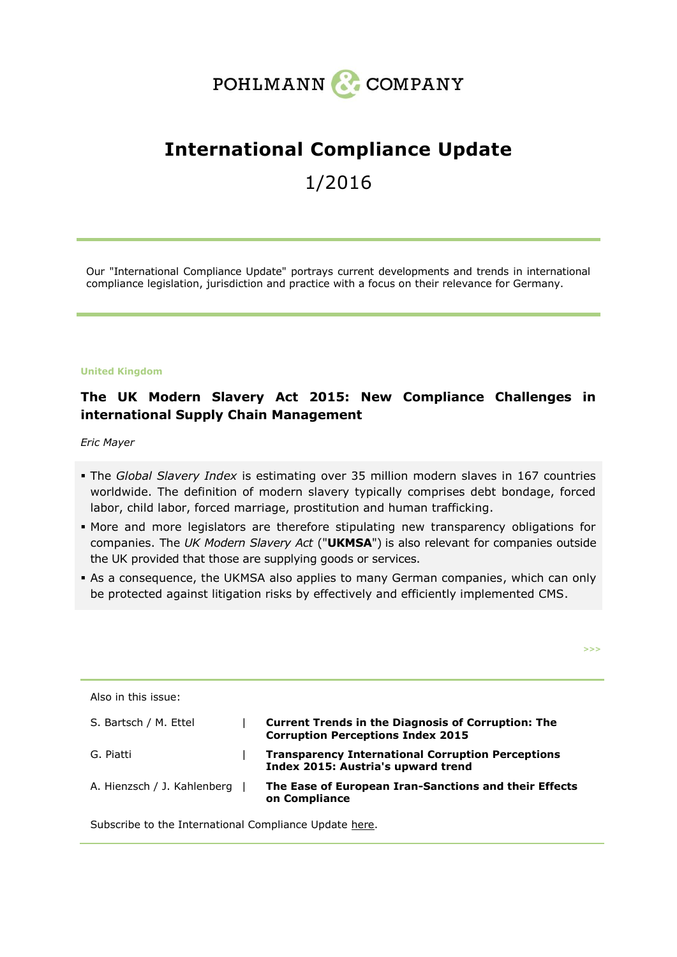

# **International Compliance Update**

# 1/2016

Our "International Compliance Update" portrays current developments and trends in international compliance legislation, jurisdiction and practice with a focus on their relevance for Germany.

#### **United Kingdom**

# **The UK Modern Slavery Act 2015: New Compliance Challenges in international Supply Chain Management**

*Eric Mayer*

- The *Global Slavery Index* is estimating over 35 million modern slaves in 167 countries worldwide. The definition of modern slavery typically comprises debt bondage, forced labor, child labor, forced marriage, prostitution and human trafficking.
- More and more legislators are therefore stipulating new transparency obligations for companies. The *UK Modern Slavery Act* ("**UKMSA**") is also relevant for companies outside the UK provided that those are supplying goods or services.
- As a consequence, the UKMSA also applies to many German companies, which can only be protected against litigation risks by effectively and efficiently implemented CMS.

**>>>**

| Also in this issue:         |                                                                                                       |
|-----------------------------|-------------------------------------------------------------------------------------------------------|
| S. Bartsch / M. Ettel       | <b>Current Trends in the Diagnosis of Corruption: The</b><br><b>Corruption Perceptions Index 2015</b> |
| G. Piatti                   | <b>Transparency International Corruption Perceptions</b><br>Index 2015: Austria's upward trend        |
| A. Hienzsch / J. Kahlenberg | The Ease of European Iran-Sanctions and their Effects<br>on Compliance                                |

Subscribe to the International Compliance Update [here.](http://pohlmann-company.com/en/subscription-form?view=form)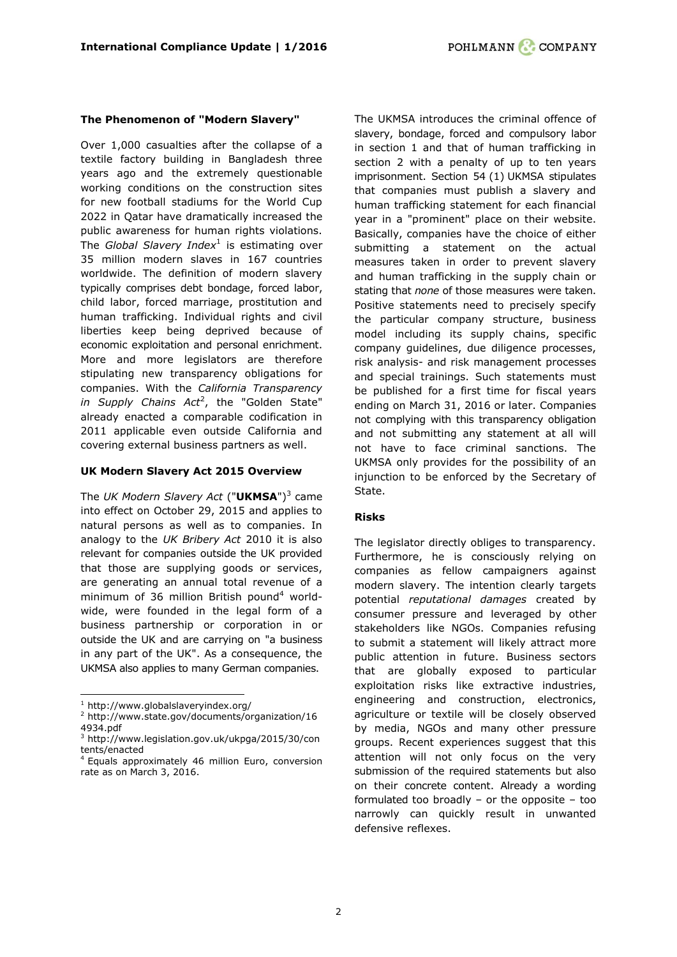#### **The Phenomenon of "Modern Slavery"**

Over 1,000 casualties after the collapse of a textile factory building in Bangladesh three years ago and the extremely questionable working conditions on the construction sites for new football stadiums for the World Cup 2022 in Qatar have dramatically increased the public awareness for human rights violations. The *Global Slavery Index*<sup>1</sup> is estimating over 35 million modern slaves in 167 countries worldwide. The definition of modern slavery typically comprises debt bondage, forced labor, child labor, forced marriage, prostitution and human trafficking. Individual rights and civil liberties keep being deprived because of economic exploitation and personal enrichment. More and more legislators are therefore stipulating new transparency obligations for companies. With the *California Transparency in Supply Chains Act*<sup>2</sup> , the "Golden State" already enacted a comparable codification in 2011 applicable even outside California and covering external business partners as well.

#### **UK Modern Slavery Act 2015 Overview**

The *UK Modern Slavery Act* ("**UKMSA**") 3 came into effect on October 29, 2015 and applies to natural persons as well as to companies. In analogy to the *UK Bribery Act* 2010 it is also relevant for companies outside the UK provided that those are supplying goods or services, are generating an annual total revenue of a minimum of 36 million British pound<sup>4</sup> worldwide, were founded in the legal form of a business partnership or corporation in or outside the UK and are carrying on "a business in any part of the UK". As a consequence, the UKMSA also applies to many German companies.

ł

The UKMSA introduces the criminal offence of slavery, bondage, forced and compulsory labor in section 1 and that of human trafficking in section 2 with a penalty of up to ten years imprisonment. Section 54 (1) UKMSA stipulates that companies must publish a slavery and human trafficking statement for each financial year in a "prominent" place on their website. Basically, companies have the choice of either submitting a statement on the actual measures taken in order to prevent slavery and human trafficking in the supply chain or stating that *none* of those measures were taken. Positive statements need to precisely specify the particular company structure, business model including its supply chains, specific company guidelines, due diligence processes, risk analysis- and risk management processes and special trainings. Such statements must be published for a first time for fiscal years ending on March 31, 2016 or later. Companies not complying with this transparency obligation and not submitting any statement at all will not have to face criminal sanctions. The UKMSA only provides for the possibility of an injunction to be enforced by the Secretary of State.

#### **Risks**

The legislator directly obliges to transparency. Furthermore, he is consciously relying on companies as fellow campaigners against modern slavery. The intention clearly targets potential *reputational damages* created by consumer pressure and leveraged by other stakeholders like NGOs. Companies refusing to submit a statement will likely attract more public attention in future. Business sectors that are globally exposed to particular exploitation risks like extractive industries, engineering and construction, electronics, agriculture or textile will be closely observed by media, NGOs and many other pressure groups. Recent experiences suggest that this attention will not only focus on the very submission of the required statements but also on their concrete content. Already a wording formulated too broadly – or the opposite – too narrowly can quickly result in unwanted defensive reflexes.

 $1$  <http://www.globalslaveryindex.org/>

<sup>&</sup>lt;sup>2</sup> [http://www.state.gov/documents/organization/16](http://www.state.gov/documents/organization/164934.pdf) [4934.pdf](http://www.state.gov/documents/organization/164934.pdf)

<sup>3</sup> [http://www.legislation.gov.uk/ukpga/2015/30/con](http://www.legislation.gov.uk/ukpga/2015/30/contents/enacted) [tents/enacted](http://www.legislation.gov.uk/ukpga/2015/30/contents/enacted)

<sup>&</sup>lt;sup>4</sup> Equals approximately 46 million Euro, conversion rate as on March 3, 2016.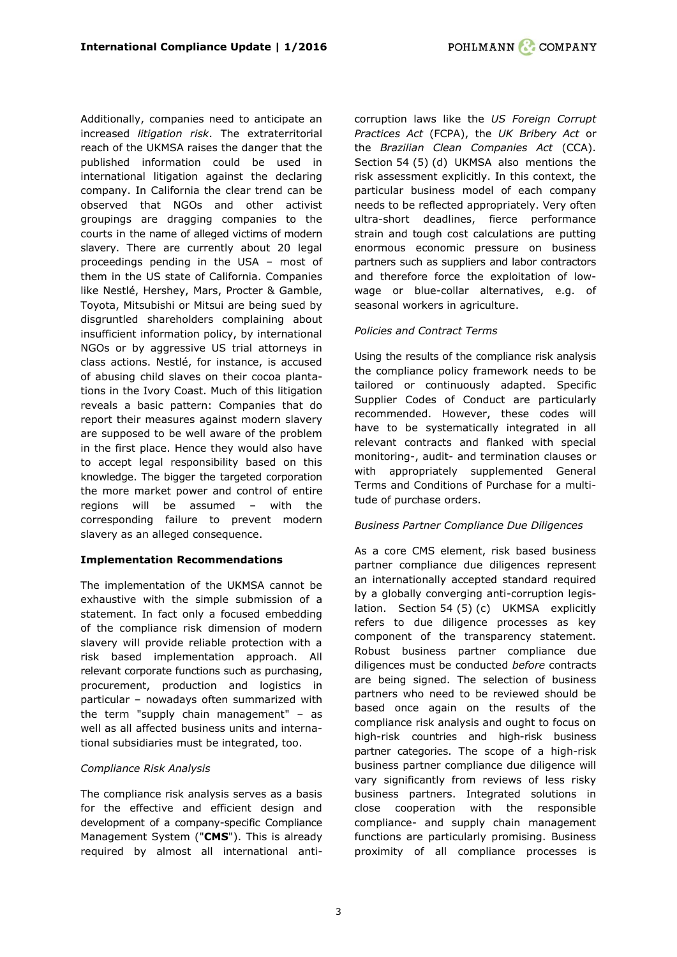Additionally, companies need to anticipate an increased *litigation risk*. The extraterritorial reach of the UKMSA raises the danger that the published information could be used in international litigation against the declaring company. In California the clear trend can be observed that NGOs and other activist groupings are dragging companies to the courts in the name of alleged victims of modern slavery. There are currently about 20 legal proceedings pending in the USA – most of them in the US state of California. Companies like Nestlé, Hershey, Mars, Procter & Gamble, Toyota, Mitsubishi or Mitsui are being sued by disgruntled shareholders complaining about insufficient information policy, by international NGOs or by aggressive US trial attorneys in class actions. Nestlé, for instance, is accused of abusing child slaves on their cocoa plantations in the Ivory Coast. Much of this litigation reveals a basic pattern: Companies that do report their measures against modern slavery are supposed to be well aware of the problem in the first place. Hence they would also have to accept legal responsibility based on this knowledge. The bigger the targeted corporation the more market power and control of entire regions will be assumed – with the corresponding failure to prevent modern slavery as an alleged consequence.

# **Implementation Recommendations**

The implementation of the UKMSA cannot be exhaustive with the simple submission of a statement. In fact only a focused embedding of the compliance risk dimension of modern slavery will provide reliable protection with a risk based implementation approach. All relevant corporate functions such as purchasing, procurement, production and logistics in particular – nowadays often summarized with the term "supply chain management" – as well as all affected business units and international subsidiaries must be integrated, too.

# *Compliance Risk Analysis*

The compliance risk analysis serves as a basis for the effective and efficient design and development of a company-specific Compliance Management System ("**CMS**"). This is already required by almost all international anticorruption laws like the *US Foreign Corrupt Practices Act* (FCPA), the *UK Bribery Act* or the *Brazilian Clean Companies Act* (CCA). Section 54 (5) (d) UKMSA also mentions the risk assessment explicitly. In this context, the particular business model of each company needs to be reflected appropriately. Very often ultra-short deadlines, fierce performance strain and tough cost calculations are putting enormous economic pressure on business partners such as suppliers and labor contractors and therefore force the exploitation of lowwage or blue-collar alternatives, e.g. of seasonal workers in agriculture.

# *Policies and Contract Terms*

Using the results of the compliance risk analysis the compliance policy framework needs to be tailored or continuously adapted. Specific Supplier Codes of Conduct are particularly recommended. However, these codes will have to be systematically integrated in all relevant contracts and flanked with special monitoring-, audit- and termination clauses or with appropriately supplemented General Terms and Conditions of Purchase for a multitude of purchase orders.

# *Business Partner Compliance Due Diligences*

As a core CMS element, risk based business partner compliance due diligences represent an internationally accepted standard required by a globally converging anti-corruption legislation. Section 54 (5) (c) UKMSA explicitly refers to due diligence processes as key component of the transparency statement. Robust business partner compliance due diligences must be conducted *before* contracts are being signed. The selection of business partners who need to be reviewed should be based once again on the results of the compliance risk analysis and ought to focus on high-risk countries and high-risk business partner categories. The scope of a high-risk business partner compliance due diligence will vary significantly from reviews of less risky business partners. Integrated solutions in close cooperation with the responsible compliance- and supply chain management functions are particularly promising. Business proximity of all compliance processes is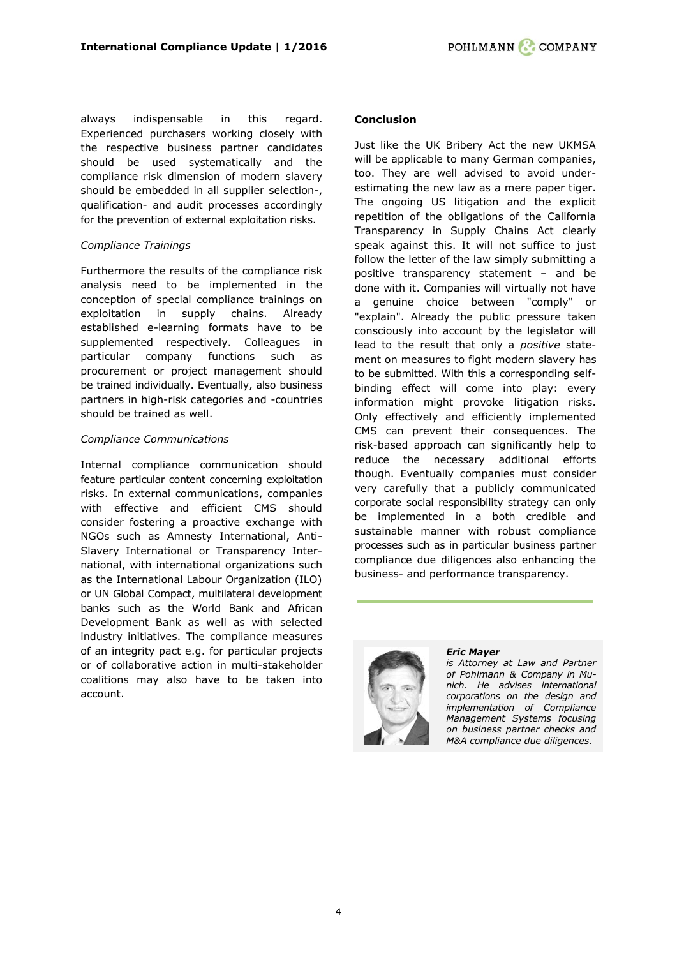always indispensable in this regard. Experienced purchasers working closely with the respective business partner candidates should be used systematically and the compliance risk dimension of modern slavery should be embedded in all supplier selection-, qualification- and audit processes accordingly for the prevention of external exploitation risks.

# *Compliance Trainings*

Furthermore the results of the compliance risk analysis need to be implemented in the conception of special compliance trainings on exploitation in supply chains. Already established e-learning formats have to be supplemented respectively. Colleagues in particular company functions such as procurement or project management should be trained individually. Eventually, also business partners in high-risk categories and -countries should be trained as well.

## *Compliance Communications*

Internal compliance communication should feature particular content concerning exploitation risks. In external communications, companies with effective and efficient CMS should consider fostering a proactive exchange with NGOs such as Amnesty International, Anti-Slavery International or Transparency International, with international organizations such as the International Labour Organization (ILO) or UN Global Compact, multilateral development banks such as the World Bank and African Development Bank as well as with selected industry initiatives. The compliance measures of an integrity pact e.g. for particular projects or of collaborative action in multi-stakeholder coalitions may also have to be taken into account.

#### **Conclusion**

Just like the UK Bribery Act the new UKMSA will be applicable to many German companies, too. They are well advised to avoid underestimating the new law as a mere paper tiger. The ongoing US litigation and the explicit repetition of the obligations of the California Transparency in Supply Chains Act clearly speak against this. It will not suffice to just follow the letter of the law simply submitting a positive transparency statement – and be done with it. Companies will virtually not have a genuine choice between "comply" or "explain". Already the public pressure taken consciously into account by the legislator will lead to the result that only a *positive* statement on measures to fight modern slavery has to be submitted. With this a corresponding selfbinding effect will come into play: every information might provoke litigation risks. Only effectively and efficiently implemented CMS can prevent their consequences. The risk-based approach can significantly help to reduce the necessary additional efforts though. Eventually companies must consider very carefully that a publicly communicated corporate social responsibility strategy can only be implemented in a both credible and sustainable manner with robust compliance processes such as in particular business partner compliance due diligences also enhancing the business- and performance transparency.



#### *[Eric Mayer](http://www.pohlmann-company.com/de/berater/eric-mayer)*

*is Attorney at Law and Partner of Pohlmann & Company in Munich. He advises international corporations on the design and implementation of Compliance Management Systems focusing on business partner checks and M&A compliance due diligences.*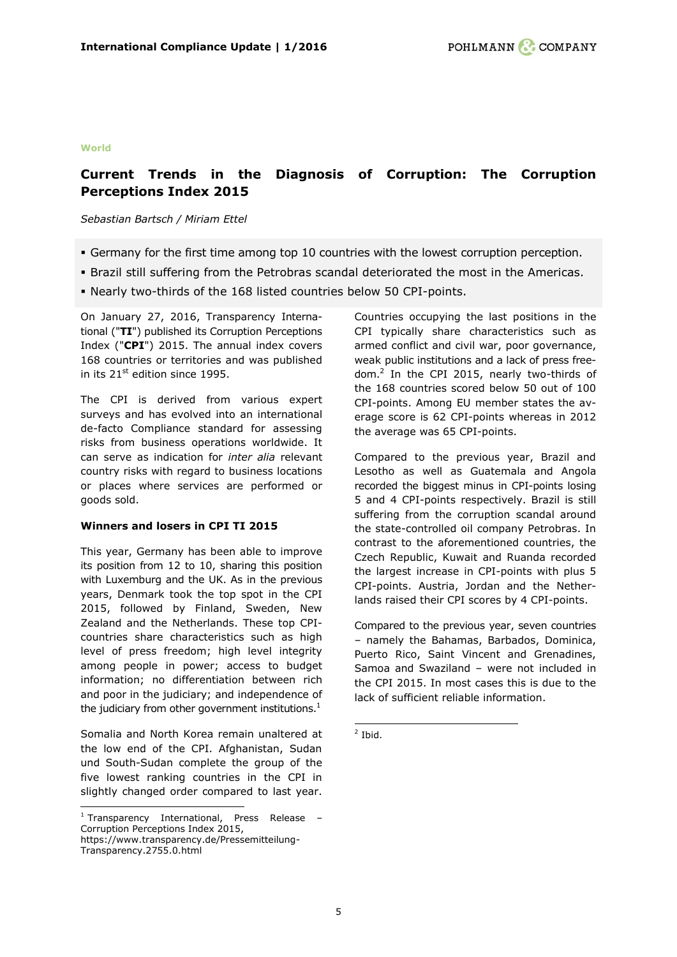#### **World**

# <span id="page-4-0"></span>**Current Trends in the Diagnosis of Corruption: The Corruption Perceptions Index 2015**

#### *Sebastian Bartsch / Miriam Ettel*

- Germany for the first time among top 10 countries with the lowest corruption perception.
- Brazil still suffering from the Petrobras scandal deteriorated the most in the Americas.
- Nearly two-thirds of the 168 listed countries below 50 CPI-points.

On January 27, 2016, Transparency International ("**TI**") published its Corruption Perceptions Index ("**CPI**") 2015. The annual index covers 168 countries or territories and was published in its  $21^{st}$  edition since 1995.

The CPI is derived from various expert surveys and has evolved into an international de-facto Compliance standard for assessing risks from business operations worldwide. It can serve as indication for *inter alia* relevant country risks with regard to business locations or places where services are performed or goods sold.

#### **Winners and losers in CPI TI 2015**

This year, Germany has been able to improve its position from 12 to 10, sharing this position with Luxemburg and the UK. As in the previous years, Denmark took the top spot in the CPI 2015, followed by Finland, Sweden, New Zealand and the Netherlands. These top CPIcountries share characteristics such as high level of press freedom; high level integrity among people in power; access to budget information; no differentiation between rich and poor in the judiciary; and independence of the judiciary from other government institutions. $<sup>1</sup>$ </sup>

Somalia and North Korea remain unaltered at the low end of the CPI. Afghanistan, Sudan und South-Sudan complete the group of the five lowest ranking countries in the CPI in slightly changed order compared to last year.

ł

Countries occupying the last positions in the CPI typically share characteristics such as armed conflict and civil war, poor governance, weak public institutions and a lack of press freedom. 2 In the CPI 2015, nearly two-thirds of the 168 countries scored below 50 out of 100 CPI-points. Among EU member states the average score is 62 CPI-points whereas in 2012 the average was 65 CPI-points.

Compared to the previous year, Brazil and Lesotho as well as Guatemala and Angola recorded the biggest minus in CPI-points losing 5 and 4 CPI-points respectively. Brazil is still suffering from the corruption scandal around the state-controlled oil company Petrobras. In contrast to the aforementioned countries, the Czech Republic, Kuwait and Ruanda recorded the largest increase in CPI-points with plus 5 CPI-points. Austria, Jordan and the Netherlands raised their CPI scores by 4 CPI-points.

Compared to the previous year, seven countries – namely the Bahamas, Barbados, Dominica, Puerto Rico, Saint Vincent and Grenadines, Samoa and Swaziland – were not included in the CPI 2015. In most cases this is due to the lack of sufficient reliable information.

 $\frac{1}{2}$  Ibid.

 $1$  Transparency International, Press Release -Corruption Perceptions Index 2015, https://www.transparency.de/Pressemitteilung-Transparency.2755.0.html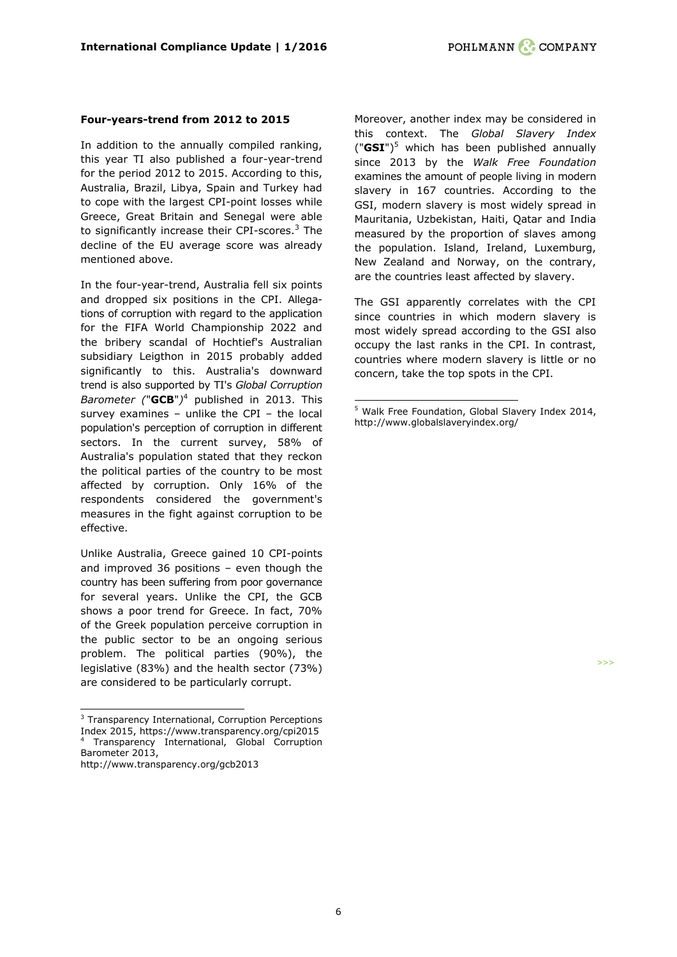#### **Four-years-trend from 2012 to 2015**

In addition to the annually compiled ranking, this year TI also published a four-year-trend for the period 2012 to 2015. According to this, Australia, Brazil, Libya, Spain and Turkey had to cope with the largest CPI-point losses while Greece, Great Britain and Senegal were able to significantly increase their CPI-scores. <sup>3</sup> The decline of the EU average score was already mentioned above.

In the four-year-trend, Australia fell six points and dropped six positions in the CPI. Allegations of corruption with regard to the application for the FIFA World Championship 2022 and the bribery scandal of Hochtief's Australian subsidiary Leigthon in 2015 probably added significantly to this. Australia's downward trend is also supported by TI's *Global Corruption Barometer (*"**GCB**"*)* <sup>4</sup> published in 2013. This survey examines – unlike the CPI – the local population's perception of corruption in different sectors. In the current survey, 58% of Australia's population stated that they reckon the political parties of the country to be most affected by corruption. Only 16% of the respondents considered the government's measures in the fight against corruption to be effective.

Unlike Australia, Greece gained 10 CPI-points and improved 36 positions – even though the country has been suffering from poor governance for several years. Unlike the CPI, the GCB shows a poor trend for Greece. In fact, 70% of the Greek population perceive corruption in the public sector to be an ongoing serious problem. The political parties (90%), the legislative (83%) and the health sector (73%) are considered to be particularly corrupt.

ł

Moreover, another index may be considered in this context. The *Global Slavery Index* ("**GSI**") <sup>5</sup> which has been published annually since 2013 by the *Walk Free Foundation* examines the amount of people living in modern slavery in 167 countries. According to the GSI, modern slavery is most widely spread in Mauritania, Uzbekistan, Haiti, Qatar and India measured by the proportion of slaves among the population. Island, Ireland, Luxemburg, New Zealand and Norway, on the contrary, are the countries least affected by slavery.

The GSI apparently correlates with the CPI since countries in which modern slavery is most widely spread according to the GSI also occupy the last ranks in the CPI. In contrast, countries where modern slavery is little or no concern, take the top spots in the CPI.

**>>>**

-

<sup>3</sup> Transparency International, Corruption Perceptions Index 2015, https://www.transparency.org/cpi2015 <sup>4</sup> Transparency International, Global Corruption Barometer 2013, http://www.transparency.org/gcb2013

<sup>5</sup> Walk Free Foundation, Global Slavery Index 2014, http://www.globalslaveryindex.org/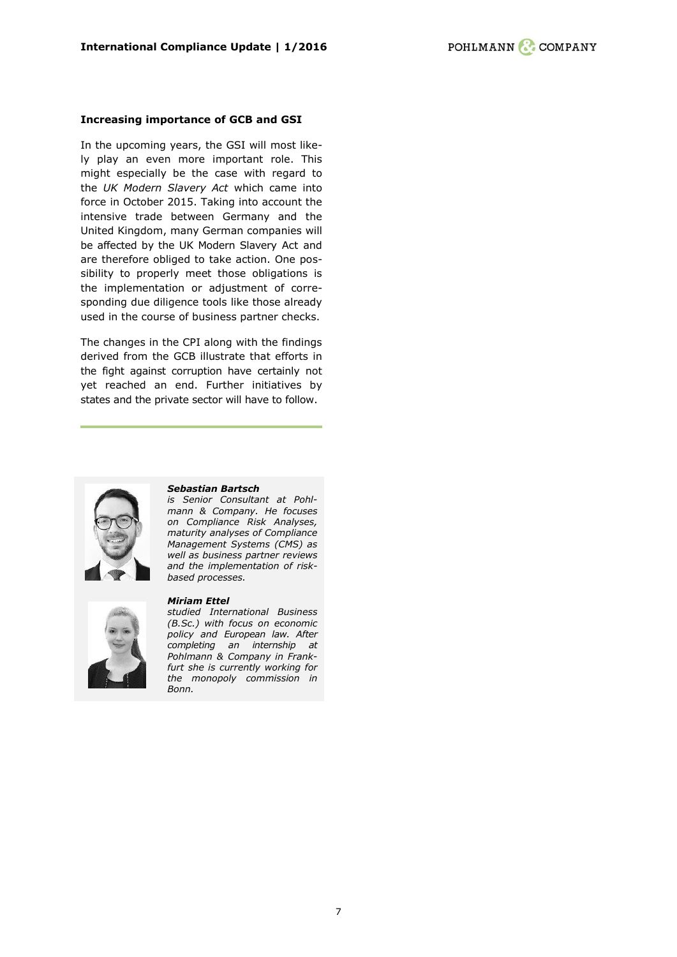#### **Increasing importance of GCB and GSI**

In the upcoming years, the GSI will most likely play an even more important role. This might especially be the case with regard to the *UK Modern Slavery Act* which came into force in October 2015. Taking into account the intensive trade between Germany and the United Kingdom, many German companies will be affected by the UK Modern Slavery Act and are therefore obliged to take action. One possibility to properly meet those obligations is the implementation or adjustment of corresponding due diligence tools like those already used in the course of business partner checks.

The changes in the CPI along with the findings derived from the GCB illustrate that efforts in the fight against corruption have certainly not yet reached an end. Further initiatives by states and the private sector will have to follow.



#### *[Sebastian Bartsch](http://www.pohlmann-company.com/en/people/sebastian-bartsch-en)*

*is Senior Consultant at Pohlmann & Company. He focuses on Compliance Risk Analyses, maturity analyses of Compliance Management Systems (CMS) as well as business partner reviews and the implementation of riskbased processes.*

#### *[Miriam](http://www.pohlmann-company.com/de/berater/sebastian-bartsch) Ettel*



*studied International Business (B.Sc.) with focus on economic policy and European law. After completing an internship at Pohlmann & Company in Frankfurt she is currently working for the monopoly commission in Bonn.*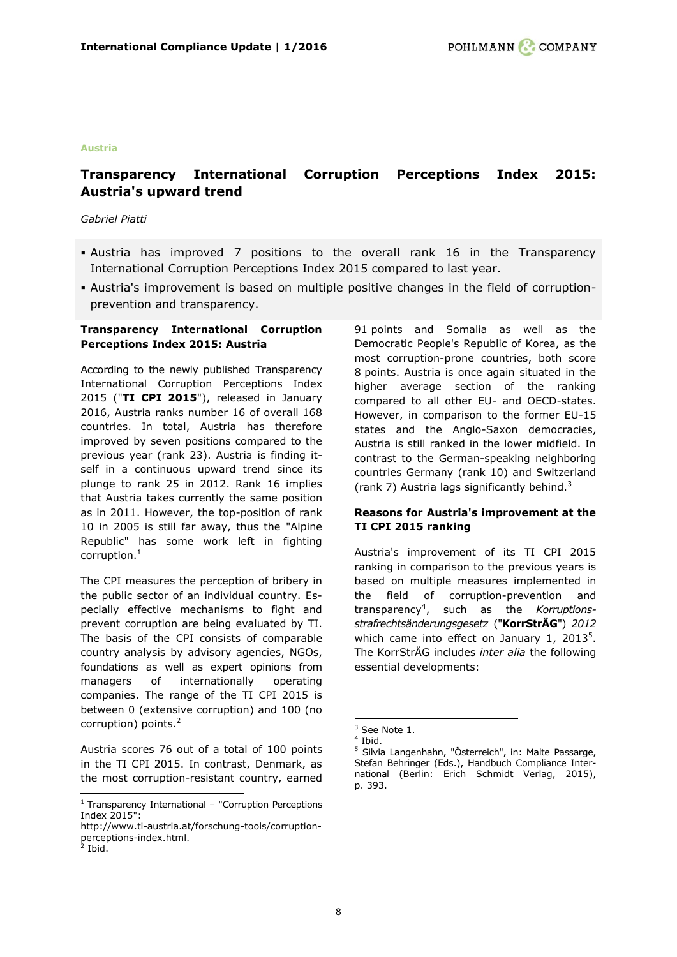#### **Austria**

# <span id="page-7-0"></span>**Transparency International Corruption Perceptions Index 2015: Austria's upward trend**

#### *Gabriel Piatti*

- Austria has improved 7 positions to the overall rank 16 in the Transparency International Corruption Perceptions Index 2015 compared to last year.
- Austria's improvement is based on multiple positive changes in the field of corruptionprevention and transparency.

## **Transparency International Corruption Perceptions Index 2015: Austria**

According to the newly published Transparency International Corruption Perceptions Index 2015 ("**TI CPI 2015**"), released in January 2016, Austria ranks number 16 of overall 168 countries. In total, Austria has therefore improved by seven positions compared to the previous year (rank 23). Austria is finding itself in a continuous upward trend since its plunge to rank 25 in 2012. Rank 16 implies that Austria takes currently the same position as in 2011. However, the top-position of rank 10 in 2005 is still far away, thus the "Alpine Republic" has some work left in fighting corruption. $^1$ 

The CPI measures the perception of bribery in the public sector of an individual country. Especially effective mechanisms to fight and prevent corruption are being evaluated by TI. The basis of the CPI consists of comparable country analysis by advisory agencies, NGOs, foundations as well as expert opinions from managers of internationally operating companies. The range of the TI CPI 2015 is between 0 (extensive corruption) and 100 (no corruption) points.<sup>2</sup>

Austria scores 76 out of a total of 100 points in the TI CPI 2015. In contrast, Denmark, as the most corruption-resistant country, earned

ł

91 points and Somalia as well as the Democratic People's Republic of Korea, as the most corruption-prone countries, both score 8 points. Austria is once again situated in the higher average section of the ranking compared to all other EU- and OECD-states. However, in comparison to the former EU-15 states and the Anglo-Saxon democracies, Austria is still ranked in the lower midfield. In contrast to the German-speaking neighboring countries Germany (rank 10) and Switzerland (rank 7) Austria lags significantly behind. $3$ 

## **Reasons for Austria's improvement at the TI CPI 2015 ranking**

Austria's improvement of its TI CPI 2015 ranking in comparison to the previous years is based on multiple measures implemented in the field of corruption-prevention and transparency<sup>4</sup> , such as the *Korruptionsstrafrechtsänderungsgesetz* ("**KorrStrÄG**") *2012* which came into effect on January 1, 2013 $^5$ . The KorrStrÄG includes *inter alia* the following essential developments:

-

 $1$  Transparency International – "Corruption Perceptions Index 2015":

http://www.ti-austria.at/forschung-tools/corruptionperceptions-index.html.<br><sup>2</sup> Ibid.

 $3$  See Note 1.

<sup>4</sup> Ibid.

<sup>5</sup> Silvia Langenhahn, "Österreich", in: Malte Passarge, Stefan Behringer (Eds.), Handbuch Compliance International (Berlin: Erich Schmidt Verlag, 2015), p. 393.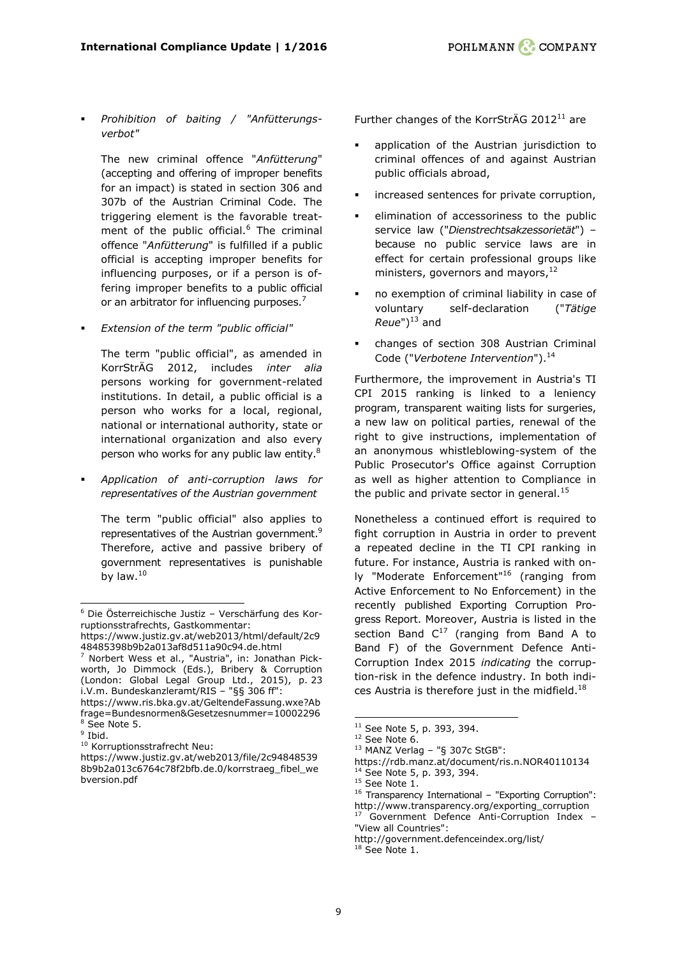*Prohibition of baiting / "Anfütterungsverbot"*

The new criminal offence "*Anfütterung*" (accepting and offering of improper benefits for an impact) is stated in section 306 and 307b of the Austrian Criminal Code. The triggering element is the favorable treatment of the public official.<sup>6</sup> The criminal offence "*Anfütterung*" is fulfilled if a public official is accepting improper benefits for influencing purposes, or if a person is offering improper benefits to a public official or an arbitrator for influencing purposes.<sup>7</sup>

*Extension of the term "public official"*

The term "public official", as amended in KorrStrÄG 2012, includes *inter alia* persons working for government-related institutions. In detail, a public official is a person who works for a local, regional, national or international authority, state or international organization and also every person who works for any public law entity.<sup>8</sup>

 *Application of anti-corruption laws for representatives of the Austrian government*

The term "public official" also applies to representatives of the Austrian government.<sup>9</sup> Therefore, active and passive bribery of government representatives is punishable by law. $10$ 

<sup>7</sup> Norbert Wess et al., "Austria", in: Jonathan Pickworth, Jo Dimmock (Eds.), Bribery & Corruption (London: Global Legal Group Ltd., 2015), p. 23 i.V.m. Bundeskanzleramt/RIS – "§§ 306 ff":

https://www.ris.bka.gv.at/GeltendeFassung.wxe?Ab frage=Bundesnormen&Gesetzesnummer=10002296 <sup>8</sup> See Note 5.

ł

Further changes of the KorrStrÄG 2012<sup>11</sup> are

- application of the Austrian jurisdiction to criminal offences of and against Austrian public officials abroad,
- increased sentences for private corruption,
- elimination of accessoriness to the public service law ("*Dienstrechtsakzessorietät*") – because no public service laws are in effect for certain professional groups like ministers, governors and mayors,<sup>12</sup>
- no exemption of criminal liability in case of voluntary self-declaration ("*Tätige*   $Reue"$ <sup>13</sup> and
- changes of section 308 Austrian Criminal Code ("Verbotene Intervention").<sup>14</sup>

Furthermore, the improvement in Austria's TI CPI 2015 ranking is linked to a leniency program, transparent waiting lists for surgeries, a new law on political parties, renewal of the right to give instructions, implementation of an anonymous whistleblowing-system of the Public Prosecutor's Office against Corruption as well as higher attention to Compliance in the public and private sector in general. $15$ 

Nonetheless a continued effort is required to fight corruption in Austria in order to prevent a repeated decline in the TI CPI ranking in future. For instance, Austria is ranked with only "Moderate Enforcement"<sup>16</sup> (ranging from Active Enforcement to No Enforcement) in the recently published Exporting Corruption Progress Report. Moreover, Austria is listed in the section Band  $C^{17}$  (ranging from Band A to Band F) of the Government Defence Anti-Corruption Index 2015 *indicating* the corruption-risk in the defence industry. In both indices Austria is therefore just in the midfield.<sup>18</sup>

-

<sup>6</sup> Die Österreichische Justiz – Verschärfung des Korruptionsstrafrechts, Gastkommentar:

https://www.justiz.gv.at/web2013/html/default/2c9 48485398b9b2a013af8d511a90c94.de.html

<sup>&</sup>lt;sup>9</sup> Ibid.

<sup>&</sup>lt;sup>10</sup> Korruptionsstrafrecht Neu:

https://www.justiz.gv.at/web2013/file/2c94848539 8b9b2a013c6764c78f2bfb.de.0/korrstraeg\_fibel\_we bversion.pdf

 $11$  See Note 5, p. 393, 394.

 $12$  See Note 6.

 $13$  MANZ Verlag - "§ 307c StGB":

https://rdb.manz.at/document/ris.n.NOR40110134 <sup>14</sup> See Note 5, p. 393, 394.

 $15$  See Note 1.

<sup>16</sup> Transparency International – "Exporting Corruption": http://www.transparency.org/exporting\_corruption <sup>17</sup> Government Defence Anti-Corruption Index –

<sup>&</sup>quot;View all Countries": http://government.defenceindex.org/list/

 $18$  See Note 1.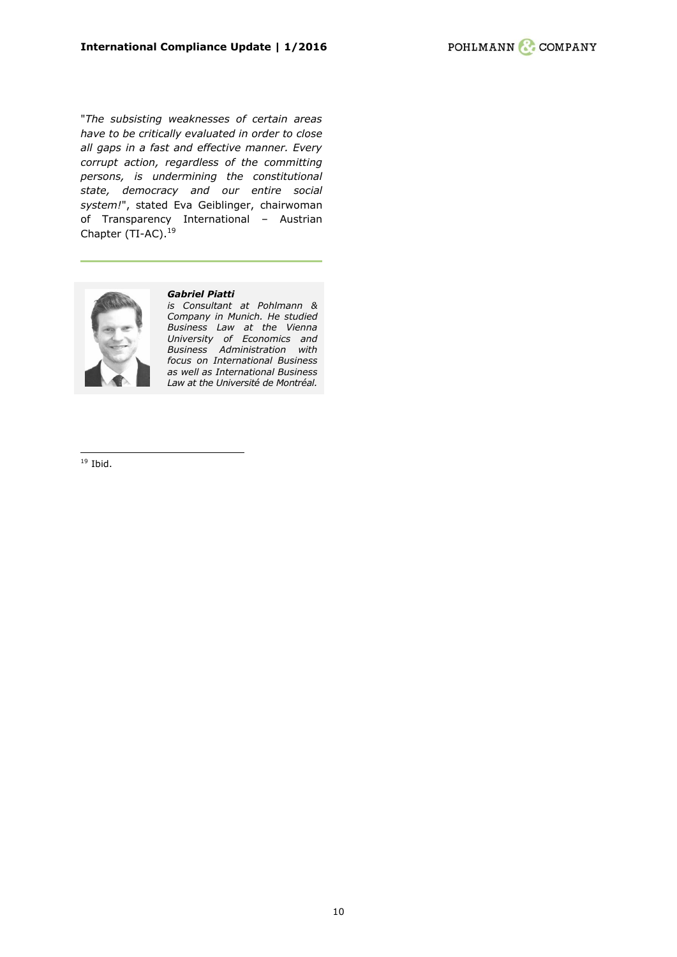"*The subsisting weaknesses of certain areas have to be critically evaluated in order to close all gaps in a fast and effective manner. Every corrupt action, regardless of the committing persons, is undermining the constitutional state, democracy and our entire social system!*", stated Eva Geiblinger, chairwoman of Transparency International – Austrian Chapter (TI-AC).<sup>19</sup>



#### *[Gabriel](http://pohlmann-company.com/de/berater/dr-max-erhard) Piatti*

*is Consultant at Pohlmann & Company in Munich. He studied Business Law at the Vienna University of Economics and Business Administration with focus on International Business as well as International Business Law at the Université de Montréal.*

 $19$  Ibid.

ł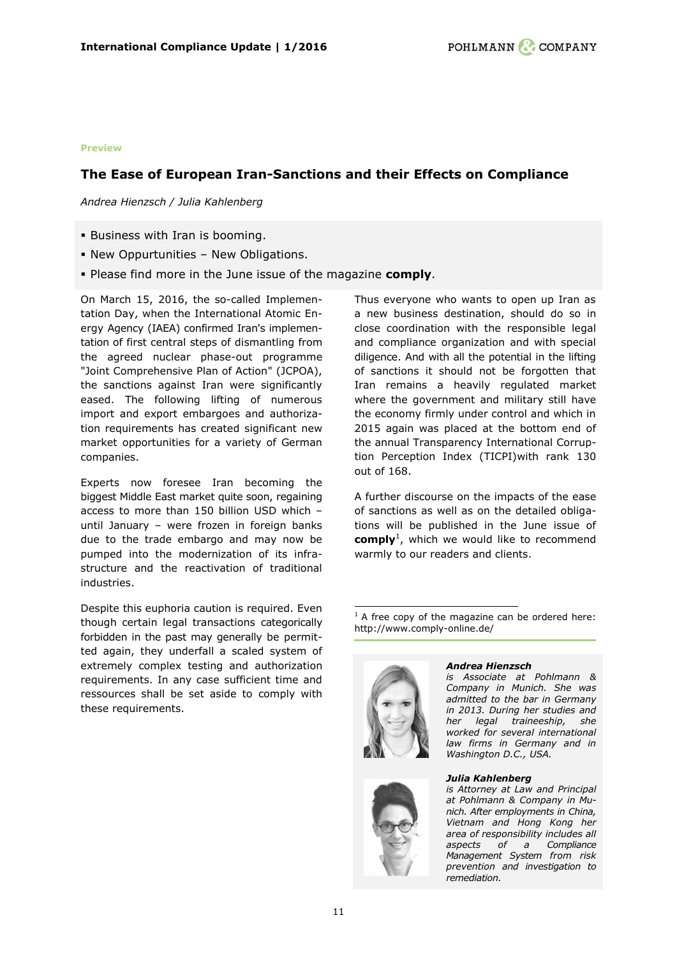#### **Preview**

# <span id="page-10-0"></span>**The Ease of European Iran-Sanctions and their Effects on Compliance**

*Andrea Hienzsch / Julia Kahlenberg*

- Business with Iran is booming.
- New Oppurtunities New Obligations.
- Please find more in the June issue of the magazine **comply**.

On March 15, 2016, the so-called Implementation Day, when the International Atomic Energy Agency (IAEA) confirmed Iran's implementation of first central steps of dismantling from the agreed nuclear phase-out programme "Joint Comprehensive Plan of Action" (JCPOA), the sanctions against Iran were significantly eased. The following lifting of numerous import and export embargoes and authorization requirements has created significant new market opportunities for a variety of German companies.

Experts now foresee Iran becoming the biggest Middle East market quite soon, regaining access to more than 150 billion USD which – until January – were frozen in foreign banks due to the trade embargo and may now be pumped into the modernization of its infrastructure and the reactivation of traditional industries.

Despite this euphoria caution is required. Even though certain legal transactions categorically forbidden in the past may generally be permitted again, they underfall a scaled system of extremely complex testing and authorization requirements. In any case sufficient time and ressources shall be set aside to comply with these requirements.

Thus everyone who wants to open up Iran as a new business destination, should do so in close coordination with the responsible legal and compliance organization and with special diligence. And with all the potential in the lifting of sanctions it should not be forgotten that Iran remains a heavily regulated market where the government and military still have the economy firmly under control and which in 2015 again was placed at the bottom end of the annual Transparency International Corruption Perception Index (TICPI)with rank 130 out of 168.

A further discourse on the impacts of the ease of sanctions as well as on the detailed obligations will be published in the June issue of **comply**<sup>1</sup> , which we would like to recommend warmly to our readers and clients.

- $1$  A free copy of the magazine can be ordered here: <http://www.comply-online.de/>



#### *[Andrea Hienzsch](http://pohlmann-company.com/de/berater/andrea-hienzsch)*

*is Associate at Pohlmann & Company in Munich. She was admitted to the bar in Germany in 2013. During her studies and her legal traineeship, she worked for several international law firms in Germany and in Washington D.C., USA.*

*[Julia Kahlenberg](http://www.pohlmann-company.com/de/berater/julia-kahlenberg)*

*is Attorney at Law and Principal at Pohlmann & Company in Munich. After employments in China, Vietnam and Hong Kong her area of responsibility includes all aspects of a Compliance Management System from risk prevention and investigation to remediation.*